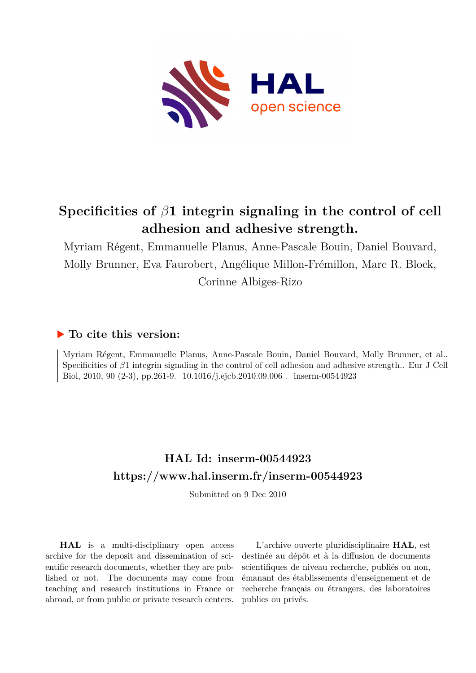

# **Specificities of** *β***1 integrin signaling in the control of cell adhesion and adhesive strength.**

Myriam Régent, Emmanuelle Planus, Anne-Pascale Bouin, Daniel Bouvard, Molly Brunner, Eva Faurobert, Angélique Millon-Frémillon, Marc R. Block, Corinne Albiges-Rizo

## **To cite this version:**

Myriam Régent, Emmanuelle Planus, Anne-Pascale Bouin, Daniel Bouvard, Molly Brunner, et al.. Specificities of *β*1 integrin signaling in the control of cell adhesion and adhesive strength.. Eur J Cell Biol, 2010, 90 (2-3), pp.261-9.  $10.1016/j.ejcb.2010.09.006$ . inserm-00544923

## **HAL Id: inserm-00544923 <https://www.hal.inserm.fr/inserm-00544923>**

Submitted on 9 Dec 2010

**HAL** is a multi-disciplinary open access archive for the deposit and dissemination of scientific research documents, whether they are published or not. The documents may come from teaching and research institutions in France or abroad, or from public or private research centers.

L'archive ouverte pluridisciplinaire **HAL**, est destinée au dépôt et à la diffusion de documents scientifiques de niveau recherche, publiés ou non, émanant des établissements d'enseignement et de recherche français ou étrangers, des laboratoires publics ou privés.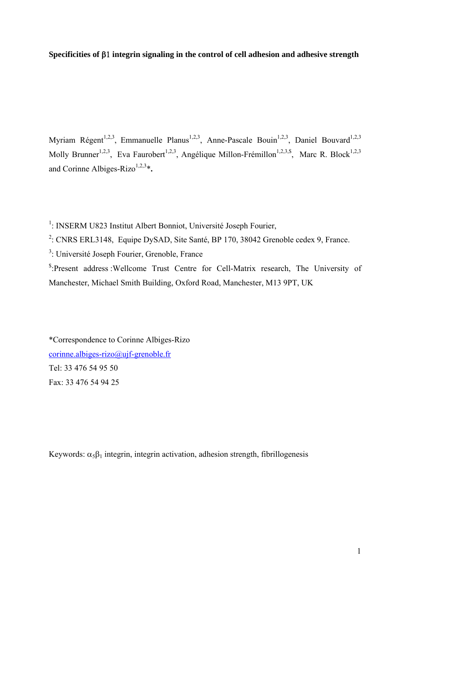## **Specificities of integrin signaling in the control of cell adhesion and adhesive strength**

Myriam Régent<sup>1,2,3</sup>, Emmanuelle Planus<sup>1,2,3</sup>, Anne-Pascale Bouin<sup>1,2,3</sup>, Daniel Bouvard<sup>1,2,3</sup> Molly Brunner<sup>1,2,3</sup>, Eva Faurobert<sup>1,2,3</sup>, Angélique Millon-Frémillon<sup>1,2,3,\$</sup>, Marc R. Block<sup>1,2,3</sup> and Corinne Albiges-Rizo<sup>1,2,3</sup> $*$ .

<sup>1</sup>: INSERM U823 Institut Albert Bonniot, Université Joseph Fourier,

<sup>2</sup>: CNRS ERL3148, Equipe DySAD, Site Santé, BP 170, 38042 Grenoble cedex 9, France.

<sup>3</sup>: Université Joseph Fourier, Grenoble, France

\$ :Present address :Wellcome Trust Centre for Cell-Matrix research, The University of Manchester, Michael Smith Building, Oxford Road, Manchester, M13 9PT, UK

\*Correspondence to Corinne Albiges-Rizo corinne.albiges-rizo@ujf-grenoble.fr Tel: 33 476 54 95 50 Fax: 33 476 54 94 25

Keywords:  $\alpha_5\beta_1$  integrin, integrin activation, adhesion strength, fibrillogenesis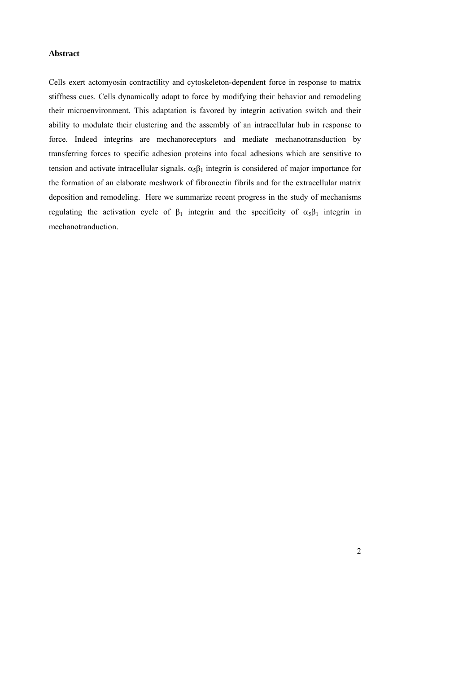## **Abstract**

Cells exert actomyosin contractility and cytoskeleton-dependent force in response to matrix stiffness cues. Cells dynamically adapt to force by modifying their behavior and remodeling their microenvironment. This adaptation is favored by integrin activation switch and their ability to modulate their clustering and the assembly of an intracellular hub in response to force. Indeed integrins are mechanoreceptors and mediate mechanotransduction by transferring forces to specific adhesion proteins into focal adhesions which are sensitive to tension and activate intracellular signals.  $\alpha_5\beta_1$  integrin is considered of major importance for the formation of an elaborate meshwork of fibronectin fibrils and for the extracellular matrix deposition and remodeling. Here we summarize recent progress in the study of mechanisms regulating the activation cycle of  $\beta_1$  integrin and the specificity of  $\alpha_5\beta_1$  integrin in mechanotranduction.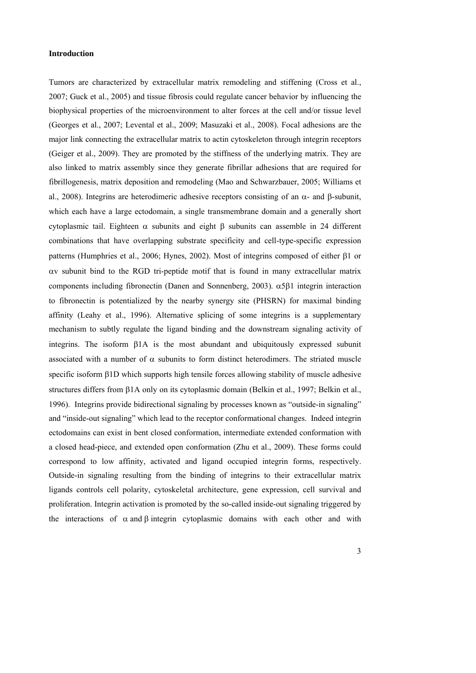#### **Introduction**

Tumors are characterized by extracellular matrix remodeling and stiffening (Cross et al., 2007; Guck et al., 2005) and tissue fibrosis could regulate cancer behavior by influencing the biophysical properties of the microenvironment to alter forces at the cell and/or tissue level (Georges et al., 2007; Levental et al., 2009; Masuzaki et al., 2008). Focal adhesions are the major link connecting the extracellular matrix to actin cytoskeleton through integrin receptors (Geiger et al., 2009). They are promoted by the stiffness of the underlying matrix. They are also linked to matrix assembly since they generate fibrillar adhesions that are required for fibrillogenesis, matrix deposition and remodeling (Mao and Schwarzbauer, 2005; Williams et al., 2008). Integrins are heterodimeric adhesive receptors consisting of an  $\alpha$ - and  $\beta$ -subunit, which each have a large ectodomain, a single transmembrane domain and a generally short cytoplasmic tail. Eighteen  $\alpha$  subunits and eight  $\beta$  subunits can assemble in 24 different combinations that have overlapping substrate specificity and cell-type-specific expression patterns (Humphries et al., 2006; Hynes, 2002). Most of integrins composed of either  $\beta$ 1 or  $\alpha$  subunit bind to the RGD tri-peptide motif that is found in many extracellular matrix components including fibronectin (Danen and Sonnenberg, 2003).  $\alpha$ 581 integrin interaction to fibronectin is potentialized by the nearby synergy site (PHSRN) for maximal binding affinity (Leahy et al., 1996). Alternative splicing of some integrins is a supplementary mechanism to subtly regulate the ligand binding and the downstream signaling activity of integrins. The isoform  $\beta$ 1A is the most abundant and ubiquitously expressed subunit associated with a number of  $\alpha$  subunits to form distinct heterodimers. The striated muscle specific isoform  $\beta$ 1D which supports high tensile forces allowing stability of muscle adhesive structures differs from  $\beta$ 1A only on its cytoplasmic domain (Belkin et al., 1997; Belkin et al., 1996). Integrins provide bidirectional signaling by processes known as "outside-in signaling" and "inside-out signaling" which lead to the receptor conformational changes. Indeed integrin ectodomains can exist in bent closed conformation, intermediate extended conformation with a closed head-piece, and extended open conformation (Zhu et al., 2009). These forms could correspond to low affinity, activated and ligand occupied integrin forms, respectively. Outside-in signaling resulting from the binding of integrins to their extracellular matrix ligands controls cell polarity, cytoskeletal architecture, gene expression, cell survival and proliferation. Integrin activation is promoted by the so-called inside-out signaling triggered by the interactions of  $\alpha$  and  $\beta$  integrin cytoplasmic domains with each other and with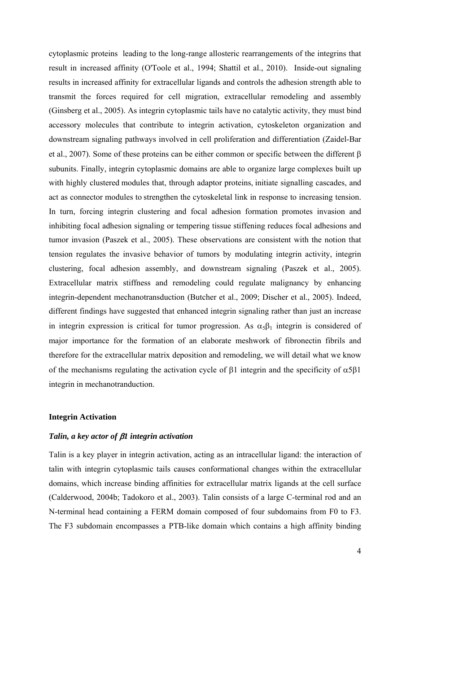cytoplasmic proteins leading to the long-range allosteric rearrangements of the integrins that result in increased affinity (O'Toole et al., 1994; Shattil et al., 2010). Inside-out signaling results in increased affinity for extracellular ligands and controls the adhesion strength able to transmit the forces required for cell migration, extracellular remodeling and assembly (Ginsberg et al., 2005). As integrin cytoplasmic tails have no catalytic activity, they must bind accessory molecules that contribute to integrin activation, cytoskeleton organization and downstream signaling pathways involved in cell proliferation and differentiation (Zaidel-Bar et al., 2007). Some of these proteins can be either common or specific between the different  $\beta$ subunits. Finally, integrin cytoplasmic domains are able to organize large complexes built up with highly clustered modules that, through adaptor proteins, initiate signalling cascades, and act as connector modules to strengthen the cytoskeletal link in response to increasing tension. In turn, forcing integrin clustering and focal adhesion formation promotes invasion and inhibiting focal adhesion signaling or tempering tissue stiffening reduces focal adhesions and tumor invasion (Paszek et al., 2005). These observations are consistent with the notion that tension regulates the invasive behavior of tumors by modulating integrin activity, integrin clustering, focal adhesion assembly, and downstream signaling (Paszek et al., 2005). Extracellular matrix stiffness and remodeling could regulate malignancy by enhancing integrin-dependent mechanotransduction (Butcher et al., 2009; Discher et al., 2005). Indeed, different findings have suggested that enhanced integrin signaling rather than just an increase in integrin expression is critical for tumor progression. As  $\alpha_5\beta_1$  integrin is considered of major importance for the formation of an elaborate meshwork of fibronectin fibrils and therefore for the extracellular matrix deposition and remodeling, we will detail what we know of the mechanisms regulating the activation cycle of  $\beta$ 1 integrin and the specificity of  $\alpha$ 5 $\beta$ 1 integrin in mechanotranduction.

## **Integrin Activation**

## *Talin, a key actor of 1 integrin activation*

Talin is a key player in integrin activation, acting as an intracellular ligand: the interaction of talin with integrin cytoplasmic tails causes conformational changes within the extracellular domains, which increase binding affinities for extracellular matrix ligands at the cell surface (Calderwood, 2004b; Tadokoro et al., 2003). Talin consists of a large C-terminal rod and an N-terminal head containing a FERM domain composed of four subdomains from F0 to F3. The F3 subdomain encompasses a PTB-like domain which contains a high affinity binding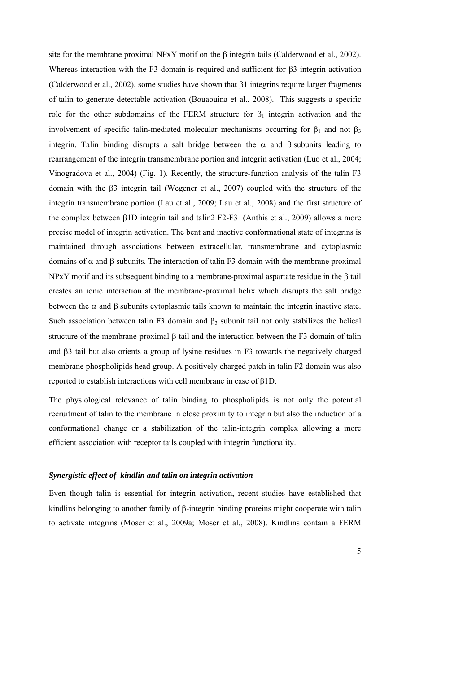site for the membrane proximal NPxY motif on the  $\beta$  integrin tails (Calderwood et al., 2002). Whereas interaction with the F3 domain is required and sufficient for  $\beta$ 3 integrin activation (Calderwood et al., 2002), some studies have shown that  $\beta$ 1 integrins require larger fragments of talin to generate detectable activation (Bouaouina et al., 2008). This suggests a specific role for the other subdomains of the FERM structure for  $\beta_1$  integrin activation and the involvement of specific talin-mediated molecular mechanisms occurring for  $\beta_1$  and not  $\beta_3$ integrin. Talin binding disrupts a salt bridge between the  $\alpha$  and  $\beta$  subunits leading to rearrangement of the integrin transmembrane portion and integrin activation (Luo et al., 2004; Vinogradova et al., 2004) (Fig. 1). Recently, the structure-function analysis of the talin F3 domain with the  $\beta$ 3 integrin tail (Wegener et al., 2007) coupled with the structure of the integrin transmembrane portion (Lau et al., 2009; Lau et al., 2008) and the first structure of the complex between  $\beta$ 1D integrin tail and talin2 F2-F3 (Anthis et al., 2009) allows a more precise model of integrin activation. The bent and inactive conformational state of integrins is maintained through associations between extracellular, transmembrane and cytoplasmic domains of  $\alpha$  and  $\beta$  subunits. The interaction of talin F3 domain with the membrane proximal  $NPxY$  motif and its subsequent binding to a membrane-proximal aspartate residue in the  $\beta$  tail creates an ionic interaction at the membrane-proximal helix which disrupts the salt bridge between the  $\alpha$  and  $\beta$  subunits cytoplasmic tails known to maintain the integrin inactive state. Such association between talin F3 domain and  $\beta_3$  subunit tail not only stabilizes the helical structure of the membrane-proximal  $\beta$  tail and the interaction between the F3 domain of talin and  $\beta$ 3 tail but also orients a group of lysine residues in F3 towards the negatively charged membrane phospholipids head group. A positively charged patch in talin F2 domain was also reported to establish interactions with cell membrane in case of  $B1D$ .

The physiological relevance of talin binding to phospholipids is not only the potential recruitment of talin to the membrane in close proximity to integrin but also the induction of a conformational change or a stabilization of the talin-integrin complex allowing a more efficient association with receptor tails coupled with integrin functionality.

### *Synergistic effect of kindlin and talin on integrin activation*

Even though talin is essential for integrin activation, recent studies have established that kindlins belonging to another family of  $\beta$ -integrin binding proteins might cooperate with talin to activate integrins (Moser et al., 2009a; Moser et al., 2008). Kindlins contain a FERM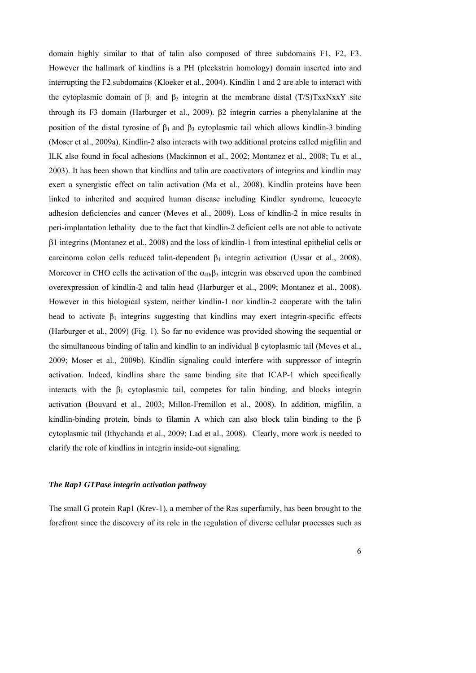domain highly similar to that of talin also composed of three subdomains F1, F2, F3. However the hallmark of kindlins is a PH (pleckstrin homology) domain inserted into and interrupting the F2 subdomains (Kloeker et al., 2004). Kindlin 1 and 2 are able to interact with the cytoplasmic domain of  $\beta_1$  and  $\beta_3$  integrin at the membrane distal (T/S)TxxNxxY site through its F3 domain (Harburger et al., 2009).  $\beta$ 2 integrin carries a phenylalanine at the position of the distal tyrosine of  $\beta_1$  and  $\beta_3$  cytoplasmic tail which allows kindlin-3 binding (Moser et al., 2009a). Kindlin-2 also interacts with two additional proteins called migfilin and ILK also found in focal adhesions (Mackinnon et al., 2002; Montanez et al., 2008; Tu et al., 2003). It has been shown that kindlins and talin are coactivators of integrins and kindlin may exert a synergistic effect on talin activation (Ma et al., 2008). Kindlin proteins have been linked to inherited and acquired human disease including Kindler syndrome, leucocyte adhesion deficiencies and cancer (Meves et al., 2009). Loss of kindlin-2 in mice results in peri-implantation lethality due to the fact that kindlin-2 deficient cells are not able to activate 1 integrins (Montanez et al., 2008) and the loss of kindlin-1 from intestinal epithelial cells or carcinoma colon cells reduced talin-dependent  $\beta_1$  integrin activation (Ussar et al., 2008). Moreover in CHO cells the activation of the  $\alpha_{IIb}\beta_3$  integrin was observed upon the combined overexpression of kindlin-2 and talin head (Harburger et al., 2009; Montanez et al., 2008). However in this biological system, neither kindlin-1 nor kindlin-2 cooperate with the talin head to activate  $\beta_1$  integrins suggesting that kindlins may exert integrin-specific effects (Harburger et al., 2009) (Fig. 1). So far no evidence was provided showing the sequential or the simultaneous binding of talin and kindlin to an individual  $\beta$  cytoplasmic tail (Meves et al., 2009; Moser et al., 2009b). Kindlin signaling could interfere with suppressor of integrin activation. Indeed, kindlins share the same binding site that ICAP-1 which specifically interacts with the  $\beta_1$  cytoplasmic tail, competes for talin binding, and blocks integrin activation (Bouvard et al., 2003; Millon-Fremillon et al., 2008). In addition, migfilin, a kindlin-binding protein, binds to filamin A which can also block talin binding to the  $\beta$ cytoplasmic tail (Ithychanda et al., 2009; Lad et al., 2008). Clearly, more work is needed to clarify the role of kindlins in integrin inside-out signaling.

## *The Rap1 GTPase integrin activation pathway*

The small G protein Rap1 (Krev-1), a member of the Ras superfamily, has been brought to the forefront since the discovery of its role in the regulation of diverse cellular processes such as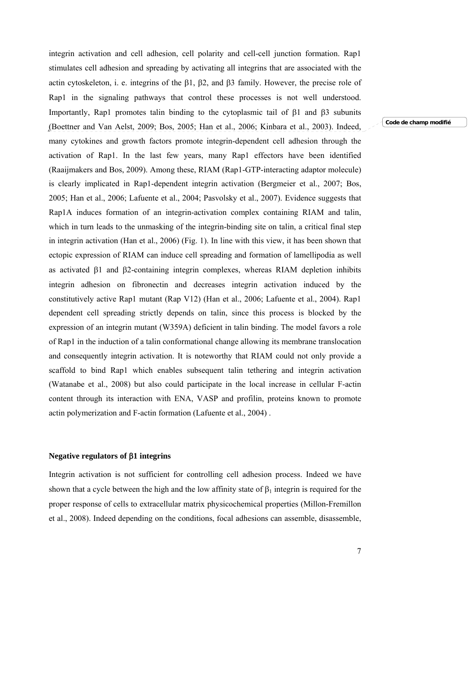integrin activation and cell adhesion, cell polarity and cell-cell junction formation. Rap1 stimulates cell adhesion and spreading by activating all integrins that are associated with the actin cytoskeleton, i. e. integrins of the  $\beta$ 1,  $\beta$ 2, and  $\beta$ 3 family. However, the precise role of Rap1 in the signaling pathways that control these processes is not well understood. Importantly, Rap1 promotes talin binding to the cytoplasmic tail of  $\beta$ 1 and  $\beta$ 3 subunits (Boettner and Van Aelst, 2009; Bos, 2005; Han et al., 2006; Kinbara et al., 2003). Indeed, many cytokines and growth factors promote integrin-dependent cell adhesion through the activation of Rap1. In the last few years, many Rap1 effectors have been identified (Raaijmakers and Bos, 2009). Among these, RIAM (Rap1-GTP-interacting adaptor molecule) is clearly implicated in Rap1-dependent integrin activation (Bergmeier et al., 2007; Bos, 2005; Han et al., 2006; Lafuente et al., 2004; Pasvolsky et al., 2007). Evidence suggests that Rap1A induces formation of an integrin-activation complex containing RIAM and talin, which in turn leads to the unmasking of the integrin-binding site on talin, a critical final step in integrin activation (Han et al., 2006) (Fig. 1). In line with this view, it has been shown that ectopic expression of RIAM can induce cell spreading and formation of lamellipodia as well as activated  $\beta$ 1 and  $\beta$ 2-containing integrin complexes, whereas RIAM depletion inhibits integrin adhesion on fibronectin and decreases integrin activation induced by the constitutively active Rap1 mutant (Rap V12) (Han et al., 2006; Lafuente et al., 2004). Rap1 dependent cell spreading strictly depends on talin, since this process is blocked by the expression of an integrin mutant (W359A) deficient in talin binding. The model favors a role of Rap1 in the induction of a talin conformational change allowing its membrane translocation and consequently integrin activation. It is noteworthy that RIAM could not only provide a scaffold to bind Rap1 which enables subsequent talin tethering and integrin activation (Watanabe et al., 2008) but also could participate in the local increase in cellular F-actin content through its interaction with ENA, VASP and profilin, proteins known to promote actin polymerization and F-actin formation (Lafuente et al., 2004) .

## **Negative regulators of 1 integrins**

Integrin activation is not sufficient for controlling cell adhesion process. Indeed we have shown that a cycle between the high and the low affinity state of  $\beta_1$  integrin is required for the proper response of cells to extracellular matrix physicochemical properties (Millon-Fremillon et al., 2008). Indeed depending on the conditions, focal adhesions can assemble, disassemble,

**Code de champ modifié**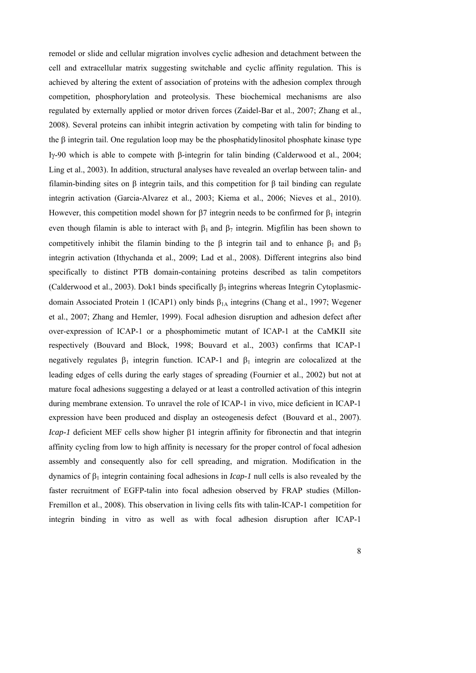remodel or slide and cellular migration involves cyclic adhesion and detachment between the cell and extracellular matrix suggesting switchable and cyclic affinity regulation. This is achieved by altering the extent of association of proteins with the adhesion complex through competition, phosphorylation and proteolysis. These biochemical mechanisms are also regulated by externally applied or motor driven forces (Zaidel-Bar et al., 2007; Zhang et al., 2008). Several proteins can inhibit integrin activation by competing with talin for binding to the  $\beta$  integrin tail. One regulation loop may be the phosphatidylinositol phosphate kinase type I<sub>2</sub>-90 which is able to compete with  $\beta$ -integrin for talin binding (Calderwood et al., 2004; Ling et al., 2003). In addition, structural analyses have revealed an overlap between talin- and filamin-binding sites on  $\beta$  integrin tails, and this competition for  $\beta$  tail binding can regulate integrin activation (Garcia-Alvarez et al., 2003; Kiema et al., 2006; Nieves et al., 2010). However, this competition model shown for  $\beta$ 7 integrin needs to be confirmed for  $\beta_1$  integrin even though filamin is able to interact with  $\beta_1$  and  $\beta_7$  integrin. Migfilin has been shown to competitively inhibit the filamin binding to the  $\beta$  integrin tail and to enhance  $\beta_1$  and  $\beta_3$ integrin activation (Ithychanda et al., 2009; Lad et al., 2008). Different integrins also bind specifically to distinct PTB domain-containing proteins described as talin competitors (Calderwood et al., 2003). Dok1 binds specifically  $\beta_3$  integrins whereas Integrin Cytoplasmicdomain Associated Protein 1 (ICAP1) only binds  $\beta_{1A}$  integrins (Chang et al., 1997; Wegener et al., 2007; Zhang and Hemler, 1999). Focal adhesion disruption and adhesion defect after over-expression of ICAP-1 or a phosphomimetic mutant of ICAP-1 at the CaMKII site respectively (Bouvard and Block, 1998; Bouvard et al., 2003) confirms that ICAP-1 negatively regulates  $\beta_1$  integrin function. ICAP-1 and  $\beta_1$  integrin are colocalized at the leading edges of cells during the early stages of spreading (Fournier et al., 2002) but not at mature focal adhesions suggesting a delayed or at least a controlled activation of this integrin during membrane extension. To unravel the role of ICAP-1 in vivo, mice deficient in ICAP-1 expression have been produced and display an osteogenesis defect (Bouvard et al., 2007). *Icap-1* deficient MEF cells show higher  $\beta$ 1 integrin affinity for fibronectin and that integrin affinity cycling from low to high affinity is necessary for the proper control of focal adhesion assembly and consequently also for cell spreading, and migration. Modification in the dynamics of  $\beta_1$  integrin containing focal adhesions in *Icap-1* null cells is also revealed by the faster recruitment of EGFP-talin into focal adhesion observed by FRAP studies (Millon-Fremillon et al., 2008). This observation in living cells fits with talin-ICAP-1 competition for integrin binding in vitro as well as with focal adhesion disruption after ICAP-1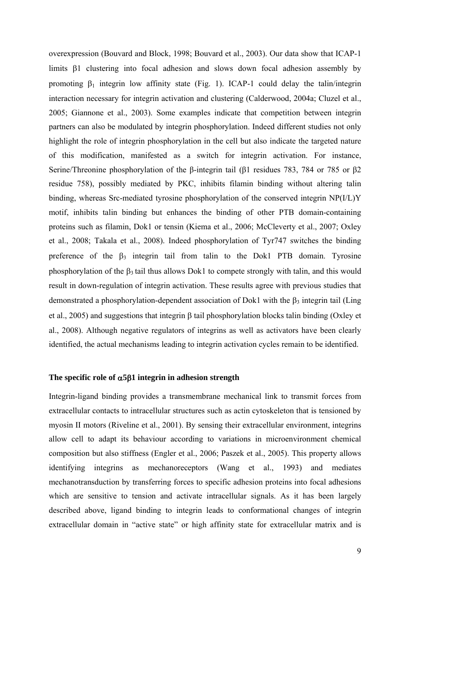overexpression (Bouvard and Block, 1998; Bouvard et al., 2003). Our data show that ICAP-1 limits  $\beta$ 1 clustering into focal adhesion and slows down focal adhesion assembly by promoting  $\beta_1$  integrin low affinity state (Fig. 1). ICAP-1 could delay the talin/integrin interaction necessary for integrin activation and clustering (Calderwood, 2004a; Cluzel et al., 2005; Giannone et al., 2003). Some examples indicate that competition between integrin partners can also be modulated by integrin phosphorylation. Indeed different studies not only highlight the role of integrin phosphorylation in the cell but also indicate the targeted nature of this modification, manifested as a switch for integrin activation. For instance, Serine/Threonine phosphorylation of the β-integrin tail (β1 residues 783, 784 or 785 or β2 residue 758), possibly mediated by PKC, inhibits filamin binding without altering talin binding, whereas Src-mediated tyrosine phosphorylation of the conserved integrin NP(I/L)Y motif, inhibits talin binding but enhances the binding of other PTB domain-containing proteins such as filamin, Dok1 or tensin (Kiema et al., 2006; McCleverty et al., 2007; Oxley et al., 2008; Takala et al., 2008). Indeed phosphorylation of Tyr747 switches the binding preference of the  $\beta_3$  integrin tail from talin to the Dok1 PTB domain. Tyrosine phosphorylation of the  $\beta_3$  tail thus allows Dok1 to compete strongly with talin, and this would result in down-regulation of integrin activation. These results agree with previous studies that demonstrated a phosphorylation-dependent association of Dok1 with the  $\beta_3$  integrin tail (Ling et al., 2005) and suggestions that integrin  $\beta$  tail phosphorylation blocks talin binding (Oxley et al., 2008). Although negative regulators of integrins as well as activators have been clearly identified, the actual mechanisms leading to integrin activation cycles remain to be identified.

#### The specific role of  $\alpha$ 5 $\beta$ 1 integrin in adhesion strength

Integrin-ligand binding provides a transmembrane mechanical link to transmit forces from extracellular contacts to intracellular structures such as actin cytoskeleton that is tensioned by myosin II motors (Riveline et al., 2001). By sensing their extracellular environment, integrins allow cell to adapt its behaviour according to variations in microenvironment chemical composition but also stiffness (Engler et al., 2006; Paszek et al., 2005). This property allows identifying integrins as mechanoreceptors (Wang et al., 1993) and mediates mechanotransduction by transferring forces to specific adhesion proteins into focal adhesions which are sensitive to tension and activate intracellular signals. As it has been largely described above, ligand binding to integrin leads to conformational changes of integrin extracellular domain in "active state" or high affinity state for extracellular matrix and is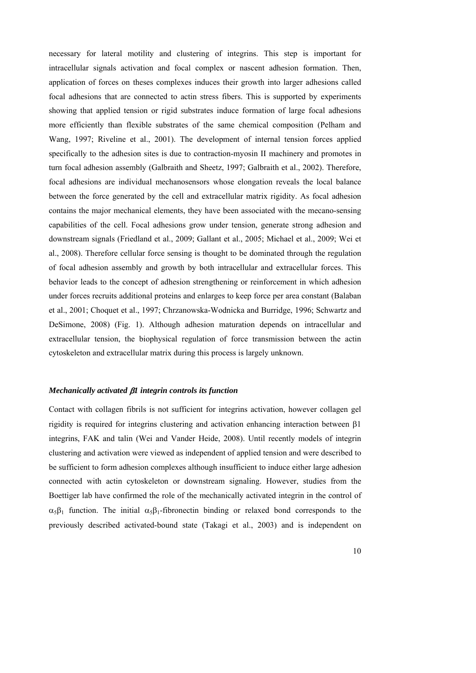necessary for lateral motility and clustering of integrins. This step is important for intracellular signals activation and focal complex or nascent adhesion formation. Then, application of forces on theses complexes induces their growth into larger adhesions called focal adhesions that are connected to actin stress fibers. This is supported by experiments showing that applied tension or rigid substrates induce formation of large focal adhesions more efficiently than flexible substrates of the same chemical composition (Pelham and Wang, 1997; Riveline et al., 2001). The development of internal tension forces applied specifically to the adhesion sites is due to contraction-myosin II machinery and promotes in turn focal adhesion assembly (Galbraith and Sheetz, 1997; Galbraith et al., 2002). Therefore, focal adhesions are individual mechanosensors whose elongation reveals the local balance between the force generated by the cell and extracellular matrix rigidity. As focal adhesion contains the major mechanical elements, they have been associated with the mecano-sensing capabilities of the cell. Focal adhesions grow under tension, generate strong adhesion and downstream signals (Friedland et al., 2009; Gallant et al., 2005; Michael et al., 2009; Wei et al., 2008). Therefore cellular force sensing is thought to be dominated through the regulation of focal adhesion assembly and growth by both intracellular and extracellular forces. This behavior leads to the concept of adhesion strengthening or reinforcement in which adhesion under forces recruits additional proteins and enlarges to keep force per area constant (Balaban et al., 2001; Choquet et al., 1997; Chrzanowska-Wodnicka and Burridge, 1996; Schwartz and DeSimone, 2008) (Fig. 1). Although adhesion maturation depends on intracellular and extracellular tension, the biophysical regulation of force transmission between the actin cytoskeleton and extracellular matrix during this process is largely unknown.

## *Mechanically activated 1 integrin controls its function*

Contact with collagen fibrils is not sufficient for integrins activation, however collagen gel rigidity is required for integrins clustering and activation enhancing interaction between  $\beta$ 1 integrins, FAK and talin (Wei and Vander Heide, 2008). Until recently models of integrin clustering and activation were viewed as independent of applied tension and were described to be sufficient to form adhesion complexes although insufficient to induce either large adhesion connected with actin cytoskeleton or downstream signaling. However, studies from the Boettiger lab have confirmed the role of the mechanically activated integrin in the control of  $\alpha_5\beta_1$  function. The initial  $\alpha_5\beta_1$ -fibronectin binding or relaxed bond corresponds to the previously described activated-bound state (Takagi et al., 2003) and is independent on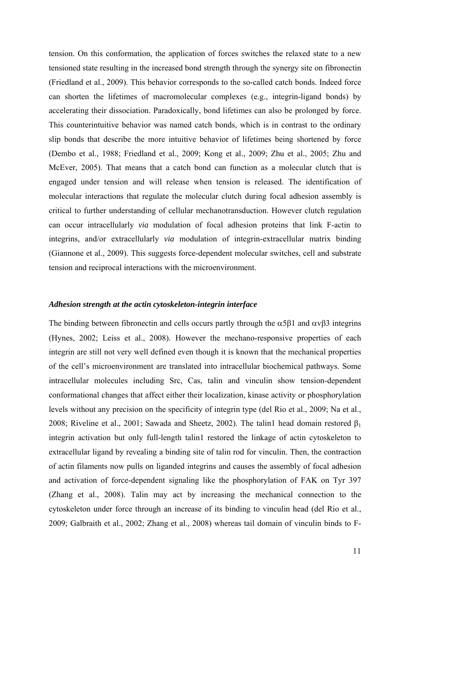tension. On this conformation, the application of forces switches the relaxed state to a new tensioned state resulting in the increased bond strength through the synergy site on fibronectin (Friedland et al., 2009). This behavior corresponds to the so-called catch bonds. Indeed force can shorten the lifetimes of macromolecular complexes (e.g., integrin-ligand bonds) by accelerating their dissociation. Paradoxically, bond lifetimes can also be prolonged by force. This counterintuitive behavior was named catch bonds, which is in contrast to the ordinary slip bonds that describe the more intuitive behavior of lifetimes being shortened by force (Dembo et al., 1988; Friedland et al., 2009; Kong et al., 2009; Zhu et al., 2005; Zhu and McEver, 2005). That means that a catch bond can function as a molecular clutch that is engaged under tension and will release when tension is released. The identification of molecular interactions that regulate the molecular clutch during focal adhesion assembly is critical to further understanding of cellular mechanotransduction. However clutch regulation can occur intracellularly *via* modulation of focal adhesion proteins that link F-actin to integrins, and/or extracellularly *via* modulation of integrin-extracellular matrix binding (Giannone et al., 2009). This suggests force-dependent molecular switches, cell and substrate tension and reciprocal interactions with the microenvironment.

#### *Adhesion strength at the actin cytoskeleton-integrin interface*

The binding between fibronectin and cells occurs partly through the  $\alpha 5\beta 1$  and  $\alpha \nu \beta 3$  integrins (Hynes, 2002; Leiss et al., 2008). However the mechano-responsive properties of each integrin are still not very well defined even though it is known that the mechanical properties of the cell's microenvironment are translated into intracellular biochemical pathways. Some intracellular molecules including Src, Cas, talin and vinculin show tension-dependent conformational changes that affect either their localization, kinase activity or phosphorylation levels without any precision on the specificity of integrin type (del Rio et al., 2009; Na et al., 2008; Riveline et al., 2001; Sawada and Sheetz, 2002). The talin1 head domain restored  $\beta_1$ integrin activation but only full-length talin1 restored the linkage of actin cytoskeleton to extracellular ligand by revealing a binding site of talin rod for vinculin. Then, the contraction of actin filaments now pulls on liganded integrins and causes the assembly of focal adhesion and activation of force-dependent signaling like the phosphorylation of FAK on Tyr 397 (Zhang et al., 2008). Talin may act by increasing the mechanical connection to the cytoskeleton under force through an increase of its binding to vinculin head (del Rio et al., 2009; Galbraith et al., 2002; Zhang et al., 2008) whereas tail domain of vinculin binds to F-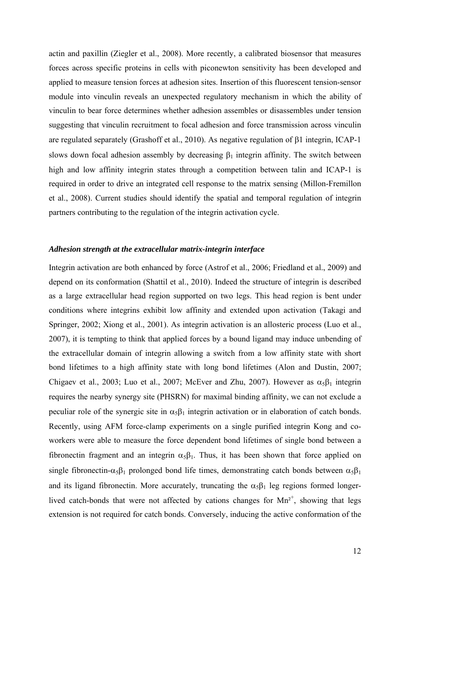actin and paxillin (Ziegler et al., 2008). More recently, a calibrated biosensor that measures forces across specific proteins in cells with piconewton sensitivity has been developed and applied to measure tension forces at adhesion sites. Insertion of this fluorescent tension-sensor module into vinculin reveals an unexpected regulatory mechanism in which the ability of vinculin to bear force determines whether adhesion assembles or disassembles under tension suggesting that vinculin recruitment to focal adhesion and force transmission across vinculin are regulated separately (Grashoff et al., 2010). As negative regulation of  $\beta$ 1 integrin, ICAP-1 slows down focal adhesion assembly by decreasing  $\beta_1$  integrin affinity. The switch between high and low affinity integrin states through a competition between talin and ICAP-1 is required in order to drive an integrated cell response to the matrix sensing (Millon-Fremillon et al., 2008). Current studies should identify the spatial and temporal regulation of integrin partners contributing to the regulation of the integrin activation cycle.

#### *Adhesion strength at the extracellular matrix-integrin interface*

Integrin activation are both enhanced by force (Astrof et al., 2006; Friedland et al., 2009) and depend on its conformation (Shattil et al., 2010). Indeed the structure of integrin is described as a large extracellular head region supported on two legs. This head region is bent under conditions where integrins exhibit low affinity and extended upon activation (Takagi and Springer, 2002; Xiong et al., 2001). As integrin activation is an allosteric process (Luo et al., 2007), it is tempting to think that applied forces by a bound ligand may induce unbending of the extracellular domain of integrin allowing a switch from a low affinity state with short bond lifetimes to a high affinity state with long bond lifetimes (Alon and Dustin, 2007; Chigaev et al., 2003; Luo et al., 2007; McEver and Zhu, 2007). However as  $\alpha_5\beta_1$  integrin requires the nearby synergy site (PHSRN) for maximal binding affinity, we can not exclude a peculiar role of the synergic site in  $\alpha_5\beta_1$  integrin activation or in elaboration of catch bonds. Recently, using AFM force-clamp experiments on a single purified integrin Kong and coworkers were able to measure the force dependent bond lifetimes of single bond between a fibronectin fragment and an integrin  $\alpha_5\beta_1$ . Thus, it has been shown that force applied on single fibronectin- $\alpha_5\beta_1$  prolonged bond life times, demonstrating catch bonds between  $\alpha_5\beta_1$ and its ligand fibronectin. More accurately, truncating the  $\alpha_5\beta_1$  leg regions formed longerlived catch-bonds that were not affected by cations changes for  $Mn^{2+}$ , showing that legs extension is not required for catch bonds. Conversely, inducing the active conformation of the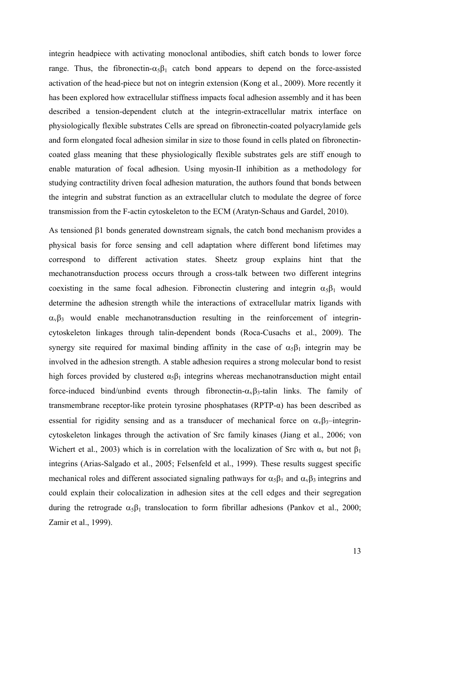integrin headpiece with activating monoclonal antibodies, shift catch bonds to lower force range. Thus, the fibronectin- $\alpha_5\beta_1$  catch bond appears to depend on the force-assisted activation of the head-piece but not on integrin extension (Kong et al., 2009). More recently it has been explored how extracellular stiffness impacts focal adhesion assembly and it has been described a tension-dependent clutch at the integrin-extracellular matrix interface on physiologically flexible substrates Cells are spread on fibronectin-coated polyacrylamide gels and form elongated focal adhesion similar in size to those found in cells plated on fibronectincoated glass meaning that these physiologically flexible substrates gels are stiff enough to enable maturation of focal adhesion. Using myosin-II inhibition as a methodology for studying contractility driven focal adhesion maturation, the authors found that bonds between the integrin and substrat function as an extracellular clutch to modulate the degree of force transmission from the F-actin cytoskeleton to the ECM (Aratyn-Schaus and Gardel, 2010).

As tensioned  $\beta$ 1 bonds generated downstream signals, the catch bond mechanism provides a physical basis for force sensing and cell adaptation where different bond lifetimes may correspond to different activation states. Sheetz group explains hint that the mechanotransduction process occurs through a cross-talk between two different integrins coexisting in the same focal adhesion. Fibronectin clustering and integrin  $\alpha_5\beta_1$  would determine the adhesion strength while the interactions of extracellular matrix ligands with  $\alpha_{\rm v}\beta_3$  would enable mechanotransduction resulting in the reinforcement of integrincytoskeleton linkages through talin-dependent bonds (Roca-Cusachs et al., 2009). The synergy site required for maximal binding affinity in the case of  $\alpha_5\beta_1$  integrin may be involved in the adhesion strength. A stable adhesion requires a strong molecular bond to resist high forces provided by clustered  $\alpha_5\beta_1$  integrins whereas mechanotransduction might entail force-induced bind/unbind events through fibronectin- $\alpha_{\gamma}\beta_3$ -talin links. The family of transmembrane receptor-like protein tyrosine phosphatases (RPTP-α) has been described as essential for rigidity sensing and as a transducer of mechanical force on  $\alpha_v\beta_3$ –integrincytoskeleton linkages through the activation of Src family kinases (Jiang et al., 2006; von Wichert et al., 2003) which is in correlation with the localization of Src with  $\alpha_v$  but not  $\beta_1$ integrins (Arias-Salgado et al., 2005; Felsenfeld et al., 1999). These results suggest specific mechanical roles and different associated signaling pathways for  $\alpha_5\beta_1$  and  $\alpha_{\nu}\beta_3$  integrins and could explain their colocalization in adhesion sites at the cell edges and their segregation during the retrograde  $\alpha_5\beta_1$  translocation to form fibrillar adhesions (Pankov et al., 2000; Zamir et al., 1999).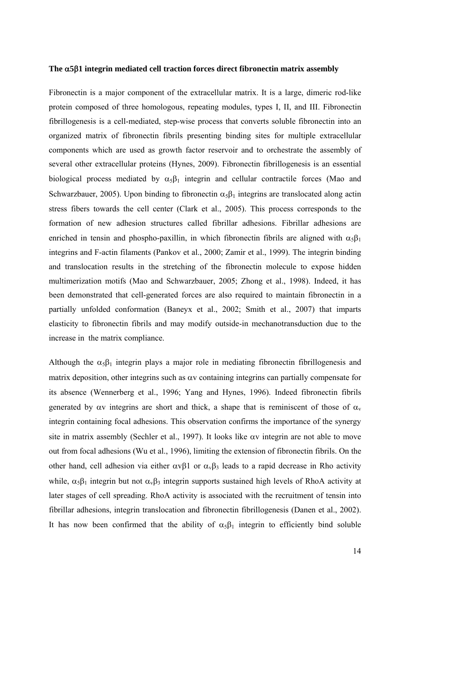#### The  $\alpha$ 5 $\beta$ 1 integrin mediated cell traction forces direct fibronectin matrix assembly

Fibronectin is a major component of the extracellular matrix. It is a large, dimeric rod-like protein composed of three homologous, repeating modules, types I, II, and III. Fibronectin fibrillogenesis is a cell-mediated, step-wise process that converts soluble fibronectin into an organized matrix of fibronectin fibrils presenting binding sites for multiple extracellular components which are used as growth factor reservoir and to orchestrate the assembly of several other extracellular proteins (Hynes, 2009). Fibronectin fibrillogenesis is an essential biological process mediated by  $\alpha_5\beta_1$  integrin and cellular contractile forces (Mao and Schwarzbauer, 2005). Upon binding to fibronectin  $\alpha_5\beta_1$  integrins are translocated along actin stress fibers towards the cell center (Clark et al., 2005). This process corresponds to the formation of new adhesion structures called fibrillar adhesions. Fibrillar adhesions are enriched in tensin and phospho-paxillin, in which fibronectin fibrils are aligned with  $\alpha_5\beta_1$ integrins and F-actin filaments (Pankov et al., 2000; Zamir et al., 1999). The integrin binding and translocation results in the stretching of the fibronectin molecule to expose hidden multimerization motifs (Mao and Schwarzbauer, 2005; Zhong et al., 1998). Indeed, it has been demonstrated that cell-generated forces are also required to maintain fibronectin in a partially unfolded conformation (Baneyx et al., 2002; Smith et al., 2007) that imparts elasticity to fibronectin fibrils and may modify outside-in mechanotransduction due to the increase in the matrix compliance.

Although the  $\alpha_5\beta_1$  integrin plays a major role in mediating fibronectin fibrillogenesis and matrix deposition, other integrins such as  $\alpha v$  containing integrins can partially compensate for its absence (Wennerberg et al., 1996; Yang and Hynes, 1996). Indeed fibronectin fibrils generated by  $\alpha v$  integrins are short and thick, a shape that is reminiscent of those of  $\alpha_v$ integrin containing focal adhesions. This observation confirms the importance of the synergy site in matrix assembly (Sechler et al., 1997). It looks like  $\alpha v$  integrin are not able to move out from focal adhesions (Wu et al., 1996), limiting the extension of fibronectin fibrils. On the other hand, cell adhesion via either  $\alpha \nu \beta_1$  or  $\alpha_{\nu} \beta_3$  leads to a rapid decrease in Rho activity while,  $\alpha_5\beta_1$  integrin but not  $\alpha_v\beta_3$  integrin supports sustained high levels of RhoA activity at later stages of cell spreading. RhoA activity is associated with the recruitment of tensin into fibrillar adhesions, integrin translocation and fibronectin fibrillogenesis (Danen et al., 2002). It has now been confirmed that the ability of  $\alpha_5\beta_1$  integrin to efficiently bind soluble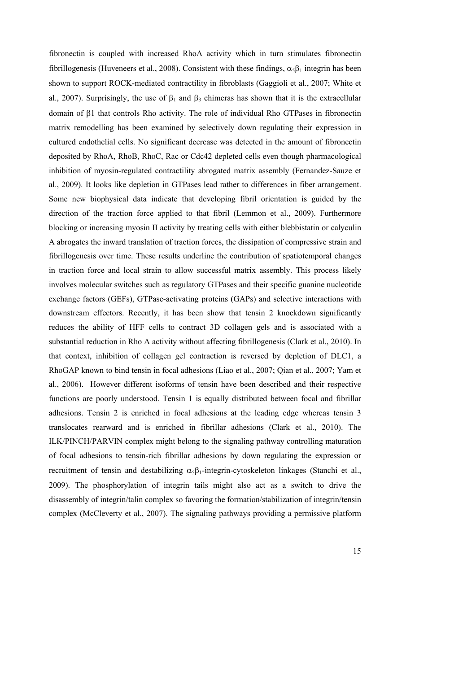fibronectin is coupled with increased RhoA activity which in turn stimulates fibronectin fibrillogenesis (Huveneers et al., 2008). Consistent with these findings,  $\alpha_5\beta_1$  integrin has been shown to support ROCK-mediated contractility in fibroblasts (Gaggioli et al., 2007; White et al., 2007). Surprisingly, the use of  $\beta_1$  and  $\beta_3$  chimeras has shown that it is the extracellular domain of  $\beta$ 1 that controls Rho activity. The role of individual Rho GTPases in fibronectin matrix remodelling has been examined by selectively down regulating their expression in cultured endothelial cells. No significant decrease was detected in the amount of fibronectin deposited by RhoA, RhoB, RhoC, Rac or Cdc42 depleted cells even though pharmacological inhibition of myosin-regulated contractility abrogated matrix assembly (Fernandez-Sauze et al., 2009). It looks like depletion in GTPases lead rather to differences in fiber arrangement. Some new biophysical data indicate that developing fibril orientation is guided by the direction of the traction force applied to that fibril (Lemmon et al., 2009). Furthermore blocking or increasing myosin II activity by treating cells with either blebbistatin or calyculin A abrogates the inward translation of traction forces, the dissipation of compressive strain and fibrillogenesis over time. These results underline the contribution of spatiotemporal changes in traction force and local strain to allow successful matrix assembly. This process likely involves molecular switches such as regulatory GTPases and their specific guanine nucleotide exchange factors (GEFs), GTPase-activating proteins (GAPs) and selective interactions with downstream effectors. Recently, it has been show that tensin 2 knockdown significantly reduces the ability of HFF cells to contract 3D collagen gels and is associated with a substantial reduction in Rho A activity without affecting fibrillogenesis (Clark et al., 2010). In that context, inhibition of collagen gel contraction is reversed by depletion of DLC1, a RhoGAP known to bind tensin in focal adhesions (Liao et al., 2007; Qian et al., 2007; Yam et al., 2006). However different isoforms of tensin have been described and their respective functions are poorly understood. Tensin 1 is equally distributed between focal and fibrillar adhesions. Tensin 2 is enriched in focal adhesions at the leading edge whereas tensin 3 translocates rearward and is enriched in fibrillar adhesions (Clark et al., 2010). The ILK/PINCH/PARVIN complex might belong to the signaling pathway controlling maturation of focal adhesions to tensin-rich fibrillar adhesions by down regulating the expression or recruitment of tensin and destabilizing  $\alpha_5\beta_1$ -integrin-cytoskeleton linkages (Stanchi et al., 2009). The phosphorylation of integrin tails might also act as a switch to drive the disassembly of integrin/talin complex so favoring the formation/stabilization of integrin/tensin complex (McCleverty et al., 2007). The signaling pathways providing a permissive platform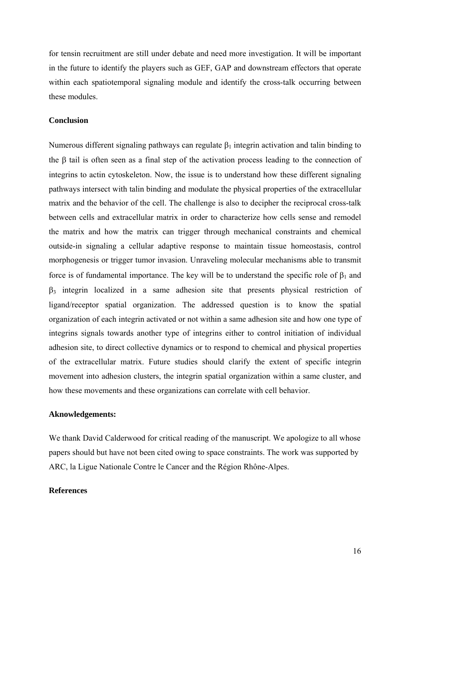for tensin recruitment are still under debate and need more investigation. It will be important in the future to identify the players such as GEF, GAP and downstream effectors that operate within each spatiotemporal signaling module and identify the cross-talk occurring between these modules.

## **Conclusion**

Numerous different signaling pathways can regulate  $\beta_1$  integrin activation and talin binding to the  $\beta$  tail is often seen as a final step of the activation process leading to the connection of integrins to actin cytoskeleton. Now, the issue is to understand how these different signaling pathways intersect with talin binding and modulate the physical properties of the extracellular matrix and the behavior of the cell. The challenge is also to decipher the reciprocal cross-talk between cells and extracellular matrix in order to characterize how cells sense and remodel the matrix and how the matrix can trigger through mechanical constraints and chemical outside-in signaling a cellular adaptive response to maintain tissue homeostasis, control morphogenesis or trigger tumor invasion. Unraveling molecular mechanisms able to transmit force is of fundamental importance. The key will be to understand the specific role of  $\beta_1$  and  $\beta_3$  integrin localized in a same adhesion site that presents physical restriction of ligand/receptor spatial organization. The addressed question is to know the spatial organization of each integrin activated or not within a same adhesion site and how one type of integrins signals towards another type of integrins either to control initiation of individual adhesion site, to direct collective dynamics or to respond to chemical and physical properties of the extracellular matrix. Future studies should clarify the extent of specific integrin movement into adhesion clusters, the integrin spatial organization within a same cluster, and how these movements and these organizations can correlate with cell behavior.

## **Aknowledgements:**

We thank David Calderwood for critical reading of the manuscript. We apologize to all whose papers should but have not been cited owing to space constraints. The work was supported by ARC, la Ligue Nationale Contre le Cancer and the Région Rhône-Alpes.

## **References**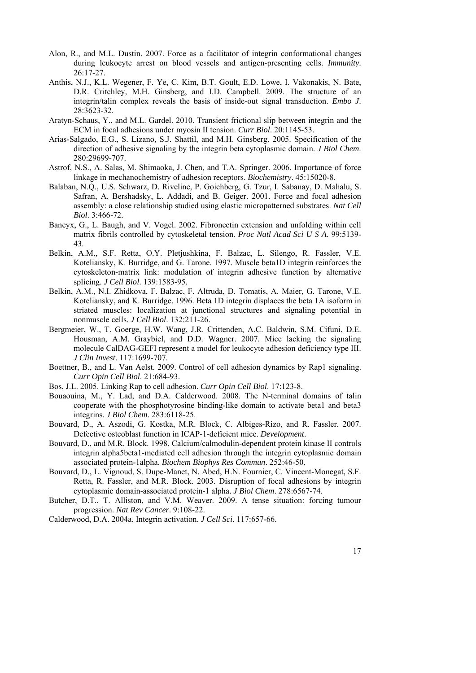- Alon, R., and M.L. Dustin. 2007. Force as a facilitator of integrin conformational changes during leukocyte arrest on blood vessels and antigen-presenting cells. *Immunity*. 26:17-27.
- Anthis, N.J., K.L. Wegener, F. Ye, C. Kim, B.T. Goult, E.D. Lowe, I. Vakonakis, N. Bate, D.R. Critchley, M.H. Ginsberg, and I.D. Campbell. 2009. The structure of an integrin/talin complex reveals the basis of inside-out signal transduction. *Embo J*. 28:3623-32.
- Aratyn-Schaus, Y., and M.L. Gardel. 2010. Transient frictional slip between integrin and the ECM in focal adhesions under myosin II tension. *Curr Biol*. 20:1145-53.
- Arias-Salgado, E.G., S. Lizano, S.J. Shattil, and M.H. Ginsberg. 2005. Specification of the direction of adhesive signaling by the integrin beta cytoplasmic domain. *J Biol Chem*. 280:29699-707.
- Astrof, N.S., A. Salas, M. Shimaoka, J. Chen, and T.A. Springer. 2006. Importance of force linkage in mechanochemistry of adhesion receptors. *Biochemistry*. 45:15020-8.
- Balaban, N.Q., U.S. Schwarz, D. Riveline, P. Goichberg, G. Tzur, I. Sabanay, D. Mahalu, S. Safran, A. Bershadsky, L. Addadi, and B. Geiger. 2001. Force and focal adhesion assembly: a close relationship studied using elastic micropatterned substrates. *Nat Cell Biol*. 3:466-72.
- Baneyx, G., L. Baugh, and V. Vogel. 2002. Fibronectin extension and unfolding within cell matrix fibrils controlled by cytoskeletal tension. *Proc Natl Acad Sci U S A*. 99:5139- 43.
- Belkin, A.M., S.F. Retta, O.Y. Pletjushkina, F. Balzac, L. Silengo, R. Fassler, V.E. Koteliansky, K. Burridge, and G. Tarone. 1997. Muscle beta1D integrin reinforces the cytoskeleton-matrix link: modulation of integrin adhesive function by alternative splicing. *J Cell Biol*. 139:1583-95.
- Belkin, A.M., N.I. Zhidkova, F. Balzac, F. Altruda, D. Tomatis, A. Maier, G. Tarone, V.E. Koteliansky, and K. Burridge. 1996. Beta 1D integrin displaces the beta 1A isoform in striated muscles: localization at junctional structures and signaling potential in nonmuscle cells. *J Cell Biol*. 132:211-26.
- Bergmeier, W., T. Goerge, H.W. Wang, J.R. Crittenden, A.C. Baldwin, S.M. Cifuni, D.E. Housman, A.M. Graybiel, and D.D. Wagner. 2007. Mice lacking the signaling molecule CalDAG-GEFI represent a model for leukocyte adhesion deficiency type III. *J Clin Invest*. 117:1699-707.
- Boettner, B., and L. Van Aelst. 2009. Control of cell adhesion dynamics by Rap1 signaling. *Curr Opin Cell Biol*. 21:684-93.
- Bos, J.L. 2005. Linking Rap to cell adhesion. *Curr Opin Cell Biol*. 17:123-8.
- Bouaouina, M., Y. Lad, and D.A. Calderwood. 2008. The N-terminal domains of talin cooperate with the phosphotyrosine binding-like domain to activate beta1 and beta3 integrins. *J Biol Chem*. 283:6118-25.
- Bouvard, D., A. Aszodi, G. Kostka, M.R. Block, C. Albiges-Rizo, and R. Fassler. 2007. Defective osteoblast function in ICAP-1-deficient mice. *Development*.
- Bouvard, D., and M.R. Block. 1998. Calcium/calmodulin-dependent protein kinase II controls integrin alpha5beta1-mediated cell adhesion through the integrin cytoplasmic domain associated protein-1alpha. *Biochem Biophys Res Commun*. 252:46-50.
- Bouvard, D., L. Vignoud, S. Dupe-Manet, N. Abed, H.N. Fournier, C. Vincent-Monegat, S.F. Retta, R. Fassler, and M.R. Block. 2003. Disruption of focal adhesions by integrin cytoplasmic domain-associated protein-1 alpha. *J Biol Chem*. 278:6567-74.
- Butcher, D.T., T. Alliston, and V.M. Weaver. 2009. A tense situation: forcing tumour progression. *Nat Rev Cancer*. 9:108-22.
- Calderwood, D.A. 2004a. Integrin activation. *J Cell Sci*. 117:657-66.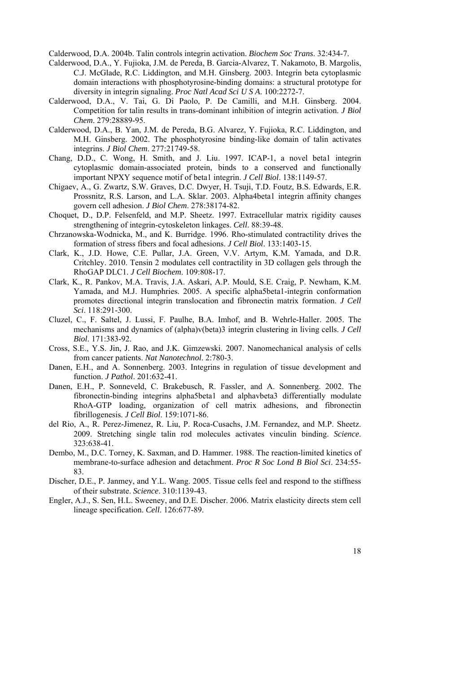Calderwood, D.A. 2004b. Talin controls integrin activation. *Biochem Soc Trans*. 32:434-7.

- Calderwood, D.A., Y. Fujioka, J.M. de Pereda, B. Garcia-Alvarez, T. Nakamoto, B. Margolis, C.J. McGlade, R.C. Liddington, and M.H. Ginsberg. 2003. Integrin beta cytoplasmic domain interactions with phosphotyrosine-binding domains: a structural prototype for diversity in integrin signaling. *Proc Natl Acad Sci U S A*. 100:2272-7.
- Calderwood, D.A., V. Tai, G. Di Paolo, P. De Camilli, and M.H. Ginsberg. 2004. Competition for talin results in trans-dominant inhibition of integrin activation. *J Biol Chem*. 279:28889-95.
- Calderwood, D.A., B. Yan, J.M. de Pereda, B.G. Alvarez, Y. Fujioka, R.C. Liddington, and M.H. Ginsberg. 2002. The phosphotyrosine binding-like domain of talin activates integrins. *J Biol Chem*. 277:21749-58.
- Chang, D.D., C. Wong, H. Smith, and J. Liu. 1997. ICAP-1, a novel beta1 integrin cytoplasmic domain-associated protein, binds to a conserved and functionally important NPXY sequence motif of beta1 integrin. *J Cell Biol*. 138:1149-57.
- Chigaev, A., G. Zwartz, S.W. Graves, D.C. Dwyer, H. Tsuji, T.D. Foutz, B.S. Edwards, E.R. Prossnitz, R.S. Larson, and L.A. Sklar. 2003. Alpha4beta1 integrin affinity changes govern cell adhesion. *J Biol Chem*. 278:38174-82.
- Choquet, D., D.P. Felsenfeld, and M.P. Sheetz. 1997. Extracellular matrix rigidity causes strengthening of integrin-cytoskeleton linkages. *Cell*. 88:39-48.
- Chrzanowska-Wodnicka, M., and K. Burridge. 1996. Rho-stimulated contractility drives the formation of stress fibers and focal adhesions. *J Cell Biol*. 133:1403-15.
- Clark, K., J.D. Howe, C.E. Pullar, J.A. Green, V.V. Artym, K.M. Yamada, and D.R. Critchley. 2010. Tensin 2 modulates cell contractility in 3D collagen gels through the RhoGAP DLC1. *J Cell Biochem*. 109:808-17.
- Clark, K., R. Pankov, M.A. Travis, J.A. Askari, A.P. Mould, S.E. Craig, P. Newham, K.M. Yamada, and M.J. Humphries. 2005. A specific alpha5beta1-integrin conformation promotes directional integrin translocation and fibronectin matrix formation. *J Cell Sci*. 118:291-300.
- Cluzel, C., F. Saltel, J. Lussi, F. Paulhe, B.A. Imhof, and B. Wehrle-Haller. 2005. The mechanisms and dynamics of (alpha)v(beta)3 integrin clustering in living cells. *J Cell Biol*. 171:383-92.
- Cross, S.E., Y.S. Jin, J. Rao, and J.K. Gimzewski. 2007. Nanomechanical analysis of cells from cancer patients. *Nat Nanotechnol*. 2:780-3.
- Danen, E.H., and A. Sonnenberg. 2003. Integrins in regulation of tissue development and function. *J Pathol*. 201:632-41.
- Danen, E.H., P. Sonneveld, C. Brakebusch, R. Fassler, and A. Sonnenberg. 2002. The fibronectin-binding integrins alpha5beta1 and alphavbeta3 differentially modulate RhoA-GTP loading, organization of cell matrix adhesions, and fibronectin fibrillogenesis. *J Cell Biol*. 159:1071-86.
- del Rio, A., R. Perez-Jimenez, R. Liu, P. Roca-Cusachs, J.M. Fernandez, and M.P. Sheetz. 2009. Stretching single talin rod molecules activates vinculin binding. *Science*. 323:638-41.
- Dembo, M., D.C. Torney, K. Saxman, and D. Hammer. 1988. The reaction-limited kinetics of membrane-to-surface adhesion and detachment. *Proc R Soc Lond B Biol Sci*. 234:55- 83.
- Discher, D.E., P. Janmey, and Y.L. Wang. 2005. Tissue cells feel and respond to the stiffness of their substrate. *Science*. 310:1139-43.
- Engler, A.J., S. Sen, H.L. Sweeney, and D.E. Discher. 2006. Matrix elasticity directs stem cell lineage specification. *Cell*. 126:677-89.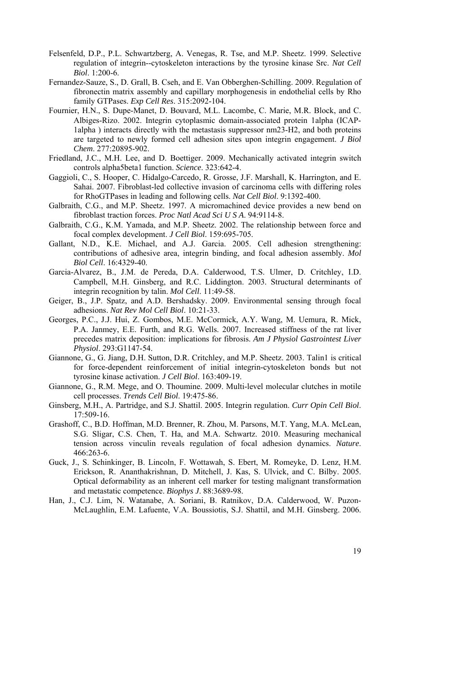- Felsenfeld, D.P., P.L. Schwartzberg, A. Venegas, R. Tse, and M.P. Sheetz. 1999. Selective regulation of integrin--cytoskeleton interactions by the tyrosine kinase Src. *Nat Cell Biol*. 1:200-6.
- Fernandez-Sauze, S., D. Grall, B. Cseh, and E. Van Obberghen-Schilling. 2009. Regulation of fibronectin matrix assembly and capillary morphogenesis in endothelial cells by Rho family GTPases. *Exp Cell Res*. 315:2092-104.
- Fournier, H.N., S. Dupe-Manet, D. Bouvard, M.L. Lacombe, C. Marie, M.R. Block, and C. Albiges-Rizo. 2002. Integrin cytoplasmic domain-associated protein 1alpha (ICAP-1alpha ) interacts directly with the metastasis suppressor nm23-H2, and both proteins are targeted to newly formed cell adhesion sites upon integrin engagement. *J Biol Chem*. 277:20895-902.
- Friedland, J.C., M.H. Lee, and D. Boettiger. 2009. Mechanically activated integrin switch controls alpha5beta1 function. *Science*. 323:642-4.
- Gaggioli, C., S. Hooper, C. Hidalgo-Carcedo, R. Grosse, J.F. Marshall, K. Harrington, and E. Sahai. 2007. Fibroblast-led collective invasion of carcinoma cells with differing roles for RhoGTPases in leading and following cells. *Nat Cell Biol*. 9:1392-400.
- Galbraith, C.G., and M.P. Sheetz. 1997. A micromachined device provides a new bend on fibroblast traction forces. *Proc Natl Acad Sci U S A*. 94:9114-8.
- Galbraith, C.G., K.M. Yamada, and M.P. Sheetz. 2002. The relationship between force and focal complex development. *J Cell Biol*. 159:695-705.
- Gallant, N.D., K.E. Michael, and A.J. Garcia. 2005. Cell adhesion strengthening: contributions of adhesive area, integrin binding, and focal adhesion assembly. *Mol Biol Cell*. 16:4329-40.
- Garcia-Alvarez, B., J.M. de Pereda, D.A. Calderwood, T.S. Ulmer, D. Critchley, I.D. Campbell, M.H. Ginsberg, and R.C. Liddington. 2003. Structural determinants of integrin recognition by talin. *Mol Cell*. 11:49-58.
- Geiger, B., J.P. Spatz, and A.D. Bershadsky. 2009. Environmental sensing through focal adhesions. *Nat Rev Mol Cell Biol*. 10:21-33.
- Georges, P.C., J.J. Hui, Z. Gombos, M.E. McCormick, A.Y. Wang, M. Uemura, R. Mick, P.A. Janmey, E.E. Furth, and R.G. Wells. 2007. Increased stiffness of the rat liver precedes matrix deposition: implications for fibrosis. *Am J Physiol Gastrointest Liver Physiol*. 293:G1147-54.
- Giannone, G., G. Jiang, D.H. Sutton, D.R. Critchley, and M.P. Sheetz. 2003. Talin1 is critical for force-dependent reinforcement of initial integrin-cytoskeleton bonds but not tyrosine kinase activation. *J Cell Biol*. 163:409-19.
- Giannone, G., R.M. Mege, and O. Thoumine. 2009. Multi-level molecular clutches in motile cell processes. *Trends Cell Biol*. 19:475-86.
- Ginsberg, M.H., A. Partridge, and S.J. Shattil. 2005. Integrin regulation. *Curr Opin Cell Biol*. 17:509-16.
- Grashoff, C., B.D. Hoffman, M.D. Brenner, R. Zhou, M. Parsons, M.T. Yang, M.A. McLean, S.G. Sligar, C.S. Chen, T. Ha, and M.A. Schwartz. 2010. Measuring mechanical tension across vinculin reveals regulation of focal adhesion dynamics. *Nature*. 466:263-6.
- Guck, J., S. Schinkinger, B. Lincoln, F. Wottawah, S. Ebert, M. Romeyke, D. Lenz, H.M. Erickson, R. Ananthakrishnan, D. Mitchell, J. Kas, S. Ulvick, and C. Bilby. 2005. Optical deformability as an inherent cell marker for testing malignant transformation and metastatic competence. *Biophys J*. 88:3689-98.
- Han, J., C.J. Lim, N. Watanabe, A. Soriani, B. Ratnikov, D.A. Calderwood, W. Puzon-McLaughlin, E.M. Lafuente, V.A. Boussiotis, S.J. Shattil, and M.H. Ginsberg. 2006.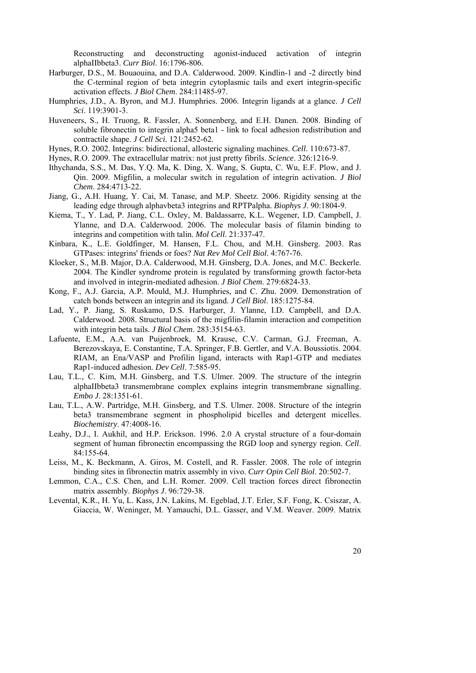Reconstructing and deconstructing agonist-induced activation of integrin alphaIIbbeta3. *Curr Biol*. 16:1796-806.

- Harburger, D.S., M. Bouaouina, and D.A. Calderwood. 2009. Kindlin-1 and -2 directly bind the C-terminal region of beta integrin cytoplasmic tails and exert integrin-specific activation effects. *J Biol Chem*. 284:11485-97.
- Humphries, J.D., A. Byron, and M.J. Humphries. 2006. Integrin ligands at a glance. *J Cell Sci*. 119:3901-3.
- Huveneers, S., H. Truong, R. Fassler, A. Sonnenberg, and E.H. Danen. 2008. Binding of soluble fibronectin to integrin alpha5 beta1 - link to focal adhesion redistribution and contractile shape. *J Cell Sci*. 121:2452-62.
- Hynes, R.O. 2002. Integrins: bidirectional, allosteric signaling machines. *Cell*. 110:673-87.
- Hynes, R.O. 2009. The extracellular matrix: not just pretty fibrils. *Science*. 326:1216-9.
- Ithychanda, S.S., M. Das, Y.Q. Ma, K. Ding, X. Wang, S. Gupta, C. Wu, E.F. Plow, and J. Qin. 2009. Migfilin, a molecular switch in regulation of integrin activation. *J Biol Chem*. 284:4713-22.
- Jiang, G., A.H. Huang, Y. Cai, M. Tanase, and M.P. Sheetz. 2006. Rigidity sensing at the leading edge through alphavbeta3 integrins and RPTPalpha. *Biophys J*. 90:1804-9.
- Kiema, T., Y. Lad, P. Jiang, C.L. Oxley, M. Baldassarre, K.L. Wegener, I.D. Campbell, J. Ylanne, and D.A. Calderwood. 2006. The molecular basis of filamin binding to integrins and competition with talin. *Mol Cell*. 21:337-47.
- Kinbara, K., L.E. Goldfinger, M. Hansen, F.L. Chou, and M.H. Ginsberg. 2003. Ras GTPases: integrins' friends or foes? *Nat Rev Mol Cell Biol*. 4:767-76.
- Kloeker, S., M.B. Major, D.A. Calderwood, M.H. Ginsberg, D.A. Jones, and M.C. Beckerle. 2004. The Kindler syndrome protein is regulated by transforming growth factor-beta and involved in integrin-mediated adhesion. *J Biol Chem*. 279:6824-33.
- Kong, F., A.J. Garcia, A.P. Mould, M.J. Humphries, and C. Zhu. 2009. Demonstration of catch bonds between an integrin and its ligand. *J Cell Biol*. 185:1275-84.
- Lad, Y., P. Jiang, S. Ruskamo, D.S. Harburger, J. Ylanne, I.D. Campbell, and D.A. Calderwood. 2008. Structural basis of the migfilin-filamin interaction and competition with integrin beta tails. *J Biol Chem*. 283:35154-63.
- Lafuente, E.M., A.A. van Puijenbroek, M. Krause, C.V. Carman, G.J. Freeman, A. Berezovskaya, E. Constantine, T.A. Springer, F.B. Gertler, and V.A. Boussiotis. 2004. RIAM, an Ena/VASP and Profilin ligand, interacts with Rap1-GTP and mediates Rap1-induced adhesion. *Dev Cell*. 7:585-95.
- Lau, T.L., C. Kim, M.H. Ginsberg, and T.S. Ulmer. 2009. The structure of the integrin alphaIIbbeta3 transmembrane complex explains integrin transmembrane signalling. *Embo J*. 28:1351-61.
- Lau, T.L., A.W. Partridge, M.H. Ginsberg, and T.S. Ulmer. 2008. Structure of the integrin beta3 transmembrane segment in phospholipid bicelles and detergent micelles. *Biochemistry*. 47:4008-16.
- Leahy, D.J., I. Aukhil, and H.P. Erickson. 1996. 2.0 A crystal structure of a four-domain segment of human fibronectin encompassing the RGD loop and synergy region. *Cell*. 84:155-64.
- Leiss, M., K. Beckmann, A. Giros, M. Costell, and R. Fassler. 2008. The role of integrin binding sites in fibronectin matrix assembly in vivo. *Curr Opin Cell Biol*. 20:502-7.
- Lemmon, C.A., C.S. Chen, and L.H. Romer. 2009. Cell traction forces direct fibronectin matrix assembly. *Biophys J*. 96:729-38.
- Levental, K.R., H. Yu, L. Kass, J.N. Lakins, M. Egeblad, J.T. Erler, S.F. Fong, K. Csiszar, A. Giaccia, W. Weninger, M. Yamauchi, D.L. Gasser, and V.M. Weaver. 2009. Matrix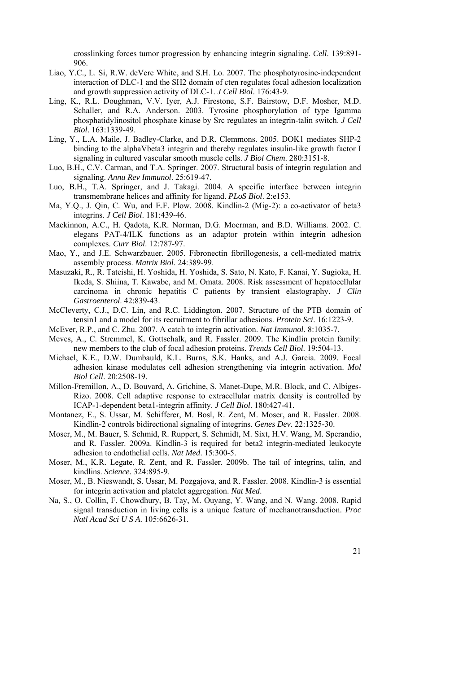crosslinking forces tumor progression by enhancing integrin signaling. *Cell*. 139:891- 906.

- Liao, Y.C., L. Si, R.W. deVere White, and S.H. Lo. 2007. The phosphotyrosine-independent interaction of DLC-1 and the SH2 domain of cten regulates focal adhesion localization and growth suppression activity of DLC-1. *J Cell Biol*. 176:43-9.
- Ling, K., R.L. Doughman, V.V. Iyer, A.J. Firestone, S.F. Bairstow, D.F. Mosher, M.D. Schaller, and R.A. Anderson. 2003. Tyrosine phosphorylation of type Igamma phosphatidylinositol phosphate kinase by Src regulates an integrin-talin switch. *J Cell Biol*. 163:1339-49.
- Ling, Y., L.A. Maile, J. Badley-Clarke, and D.R. Clemmons. 2005. DOK1 mediates SHP-2 binding to the alphaVbeta3 integrin and thereby regulates insulin-like growth factor I signaling in cultured vascular smooth muscle cells. *J Biol Chem*. 280:3151-8.
- Luo, B.H., C.V. Carman, and T.A. Springer. 2007. Structural basis of integrin regulation and signaling. *Annu Rev Immunol*. 25:619-47.
- Luo, B.H., T.A. Springer, and J. Takagi. 2004. A specific interface between integrin transmembrane helices and affinity for ligand. *PLoS Biol*. 2:e153.
- Ma, Y.Q., J. Qin, C. Wu, and E.F. Plow. 2008. Kindlin-2 (Mig-2): a co-activator of beta3 integrins. *J Cell Biol*. 181:439-46.
- Mackinnon, A.C., H. Qadota, K.R. Norman, D.G. Moerman, and B.D. Williams. 2002. C. elegans PAT-4/ILK functions as an adaptor protein within integrin adhesion complexes. *Curr Biol*. 12:787-97.
- Mao, Y., and J.E. Schwarzbauer. 2005. Fibronectin fibrillogenesis, a cell-mediated matrix assembly process. *Matrix Biol*. 24:389-99.
- Masuzaki, R., R. Tateishi, H. Yoshida, H. Yoshida, S. Sato, N. Kato, F. Kanai, Y. Sugioka, H. Ikeda, S. Shiina, T. Kawabe, and M. Omata. 2008. Risk assessment of hepatocellular carcinoma in chronic hepatitis C patients by transient elastography. *J Clin Gastroenterol*. 42:839-43.
- McCleverty, C.J., D.C. Lin, and R.C. Liddington. 2007. Structure of the PTB domain of tensin1 and a model for its recruitment to fibrillar adhesions. *Protein Sci*. 16:1223-9.
- McEver, R.P., and C. Zhu. 2007. A catch to integrin activation. *Nat Immunol*. 8:1035-7.
- Meves, A., C. Stremmel, K. Gottschalk, and R. Fassler. 2009. The Kindlin protein family: new members to the club of focal adhesion proteins. *Trends Cell Biol*. 19:504-13.
- Michael, K.E., D.W. Dumbauld, K.L. Burns, S.K. Hanks, and A.J. Garcia. 2009. Focal adhesion kinase modulates cell adhesion strengthening via integrin activation. *Mol Biol Cell*. 20:2508-19.
- Millon-Fremillon, A., D. Bouvard, A. Grichine, S. Manet-Dupe, M.R. Block, and C. Albiges-Rizo. 2008. Cell adaptive response to extracellular matrix density is controlled by ICAP-1-dependent beta1-integrin affinity. *J Cell Biol*. 180:427-41.
- Montanez, E., S. Ussar, M. Schifferer, M. Bosl, R. Zent, M. Moser, and R. Fassler. 2008. Kindlin-2 controls bidirectional signaling of integrins. *Genes Dev*. 22:1325-30.
- Moser, M., M. Bauer, S. Schmid, R. Ruppert, S. Schmidt, M. Sixt, H.V. Wang, M. Sperandio, and R. Fassler. 2009a. Kindlin-3 is required for beta2 integrin-mediated leukocyte adhesion to endothelial cells. *Nat Med*. 15:300-5.
- Moser, M., K.R. Legate, R. Zent, and R. Fassler. 2009b. The tail of integrins, talin, and kindlins. *Science*. 324:895-9.
- Moser, M., B. Nieswandt, S. Ussar, M. Pozgajova, and R. Fassler. 2008. Kindlin-3 is essential for integrin activation and platelet aggregation. *Nat Med*.
- Na, S., O. Collin, F. Chowdhury, B. Tay, M. Ouyang, Y. Wang, and N. Wang. 2008. Rapid signal transduction in living cells is a unique feature of mechanotransduction. *Proc Natl Acad Sci U S A*. 105:6626-31.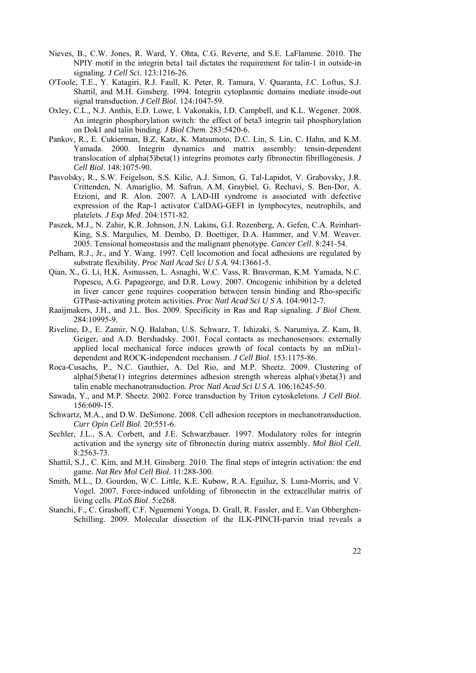- Nieves, B., C.W. Jones, R. Ward, Y. Ohta, C.G. Reverte, and S.E. LaFlamme. 2010. The NPIY motif in the integrin beta1 tail dictates the requirement for talin-1 in outside-in signaling. *J Cell Sci*. 123:1216-26.
- O'Toole, T.E., Y. Katagiri, R.J. Faull, K. Peter, R. Tamura, V. Quaranta, J.C. Loftus, S.J. Shattil, and M.H. Ginsberg. 1994. Integrin cytoplasmic domains mediate inside-out signal transduction. *J Cell Biol*. 124:1047-59.
- Oxley, C.L., N.J. Anthis, E.D. Lowe, I. Vakonakis, I.D. Campbell, and K.L. Wegener. 2008. An integrin phosphorylation switch: the effect of beta3 integrin tail phosphorylation on Dok1 and talin binding. *J Biol Chem*. 283:5420-6.
- Pankov, R., E. Cukierman, B.Z. Katz, K. Matsumoto, D.C. Lin, S. Lin, C. Hahn, and K.M. Yamada. 2000. Integrin dynamics and matrix assembly: tensin-dependent translocation of alpha(5)beta(1) integrins promotes early fibronectin fibrillogenesis. *J Cell Biol*. 148:1075-90.
- Pasvolsky, R., S.W. Feigelson, S.S. Kilic, A.J. Simon, G. Tal-Lapidot, V. Grabovsky, J.R. Crittenden, N. Amariglio, M. Safran, A.M. Graybiel, G. Rechavi, S. Ben-Dor, A. Etzioni, and R. Alon. 2007. A LAD-III syndrome is associated with defective expression of the Rap-1 activator CalDAG-GEFI in lymphocytes, neutrophils, and platelets. *J Exp Med*. 204:1571-82.
- Paszek, M.J., N. Zahir, K.R. Johnson, J.N. Lakins, G.I. Rozenberg, A. Gefen, C.A. Reinhart-King, S.S. Margulies, M. Dembo, D. Boettiger, D.A. Hammer, and V.M. Weaver. 2005. Tensional homeostasis and the malignant phenotype. *Cancer Cell*. 8:241-54.
- Pelham, R.J., Jr., and Y. Wang. 1997. Cell locomotion and focal adhesions are regulated by substrate flexibility. *Proc Natl Acad Sci U S A*. 94:13661-5.
- Qian, X., G. Li, H.K. Asmussen, L. Asnaghi, W.C. Vass, R. Braverman, K.M. Yamada, N.C. Popescu, A.G. Papageorge, and D.R. Lowy. 2007. Oncogenic inhibition by a deleted in liver cancer gene requires cooperation between tensin binding and Rho-specific GTPase-activating protein activities. *Proc Natl Acad Sci U S A*. 104:9012-7.
- Raaijmakers, J.H., and J.L. Bos. 2009. Specificity in Ras and Rap signaling. *J Biol Chem*. 284:10995-9.
- Riveline, D., E. Zamir, N.Q. Balaban, U.S. Schwarz, T. Ishizaki, S. Narumiya, Z. Kam, B. Geiger, and A.D. Bershadsky. 2001. Focal contacts as mechanosensors: externally applied local mechanical force induces growth of focal contacts by an mDia1 dependent and ROCK-independent mechanism. *J Cell Biol*. 153:1175-86.
- Roca-Cusachs, P., N.C. Gauthier, A. Del Rio, and M.P. Sheetz. 2009. Clustering of alpha(5)beta(1) integrins determines adhesion strength whereas alpha(v)beta(3) and talin enable mechanotransduction. *Proc Natl Acad Sci U S A*. 106:16245-50.
- Sawada, Y., and M.P. Sheetz. 2002. Force transduction by Triton cytoskeletons. *J Cell Biol*. 156:609-15.
- Schwartz, M.A., and D.W. DeSimone. 2008. Cell adhesion receptors in mechanotransduction. *Curr Opin Cell Biol*. 20:551-6.
- Sechler, J.L., S.A. Corbett, and J.E. Schwarzbauer. 1997. Modulatory roles for integrin activation and the synergy site of fibronectin during matrix assembly. *Mol Biol Cell*. 8:2563-73.
- Shattil, S.J., C. Kim, and M.H. Ginsberg. 2010. The final steps of integrin activation: the end game. *Nat Rev Mol Cell Biol*. 11:288-300.
- Smith, M.L., D. Gourdon, W.C. Little, K.E. Kubow, R.A. Eguiluz, S. Luna-Morris, and V. Vogel. 2007. Force-induced unfolding of fibronectin in the extracellular matrix of living cells. *PLoS Biol*. 5:e268.
- Stanchi, F., C. Grashoff, C.F. Nguemeni Yonga, D. Grall, R. Fassler, and E. Van Obberghen-Schilling. 2009. Molecular dissection of the ILK-PINCH-parvin triad reveals a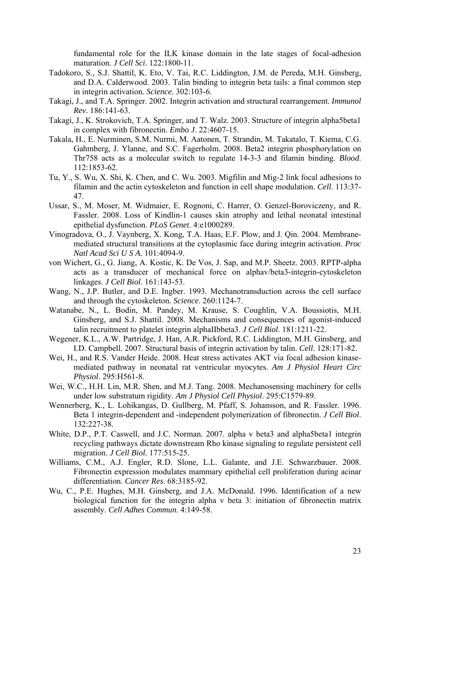fundamental role for the ILK kinase domain in the late stages of focal-adhesion maturation. *J Cell Sci*. 122:1800-11.

- Tadokoro, S., S.J. Shattil, K. Eto, V. Tai, R.C. Liddington, J.M. de Pereda, M.H. Ginsberg, and D.A. Calderwood. 2003. Talin binding to integrin beta tails: a final common step in integrin activation. *Science*. 302:103-6.
- Takagi, J., and T.A. Springer. 2002. Integrin activation and structural rearrangement. *Immunol Rev*. 186:141-63.
- Takagi, J., K. Strokovich, T.A. Springer, and T. Walz. 2003. Structure of integrin alpha5beta1 in complex with fibronectin. *Embo J*. 22:4607-15.
- Takala, H., E. Nurminen, S.M. Nurmi, M. Aatonen, T. Strandin, M. Takatalo, T. Kiema, C.G. Gahmberg, J. Ylanne, and S.C. Fagerholm. 2008. Beta2 integrin phosphorylation on Thr758 acts as a molecular switch to regulate 14-3-3 and filamin binding. *Blood*. 112:1853-62.
- Tu, Y., S. Wu, X. Shi, K. Chen, and C. Wu. 2003. Migfilin and Mig-2 link focal adhesions to filamin and the actin cytoskeleton and function in cell shape modulation. *Cell*. 113:37- 47.
- Ussar, S., M. Moser, M. Widmaier, E. Rognoni, C. Harrer, O. Genzel-Boroviczeny, and R. Fassler. 2008. Loss of Kindlin-1 causes skin atrophy and lethal neonatal intestinal epithelial dysfunction. *PLoS Genet*. 4:e1000289.
- Vinogradova, O., J. Vaynberg, X. Kong, T.A. Haas, E.F. Plow, and J. Qin. 2004. Membranemediated structural transitions at the cytoplasmic face during integrin activation. *Proc Natl Acad Sci U S A*. 101:4094-9.
- von Wichert, G., G. Jiang, A. Kostic, K. De Vos, J. Sap, and M.P. Sheetz. 2003. RPTP-alpha acts as a transducer of mechanical force on alphav/beta3-integrin-cytoskeleton linkages. *J Cell Biol*. 161:143-53.
- Wang, N., J.P. Butler, and D.E. Ingber. 1993. Mechanotransduction across the cell surface and through the cytoskeleton. *Science*. 260:1124-7.
- Watanabe, N., L. Bodin, M. Pandey, M. Krause, S. Coughlin, V.A. Boussiotis, M.H. Ginsberg, and S.J. Shattil. 2008. Mechanisms and consequences of agonist-induced talin recruitment to platelet integrin alphaIIbbeta3. *J Cell Biol*. 181:1211-22.
- Wegener, K.L., A.W. Partridge, J. Han, A.R. Pickford, R.C. Liddington, M.H. Ginsberg, and I.D. Campbell. 2007. Structural basis of integrin activation by talin. *Cell*. 128:171-82.
- Wei, H., and R.S. Vander Heide. 2008. Heat stress activates AKT via focal adhesion kinasemediated pathway in neonatal rat ventricular myocytes. *Am J Physiol Heart Circ Physiol*. 295:H561-8.
- Wei, W.C., H.H. Lin, M.R. Shen, and M.J. Tang. 2008. Mechanosensing machinery for cells under low substratum rigidity. *Am J Physiol Cell Physiol*. 295:C1579-89.
- Wennerberg, K., L. Lohikangas, D. Gullberg, M. Pfaff, S. Johansson, and R. Fassler. 1996. Beta 1 integrin-dependent and -independent polymerization of fibronectin. *J Cell Biol*. 132:227-38.
- White, D.P., P.T. Caswell, and J.C. Norman. 2007. alpha v beta3 and alpha5beta1 integrin recycling pathways dictate downstream Rho kinase signaling to regulate persistent cell migration. *J Cell Biol*. 177:515-25.
- Williams, C.M., A.J. Engler, R.D. Slone, L.L. Galante, and J.E. Schwarzbauer. 2008. Fibronectin expression modulates mammary epithelial cell proliferation during acinar differentiation. *Cancer Res*. 68:3185-92.
- Wu, C., P.E. Hughes, M.H. Ginsberg, and J.A. McDonald. 1996. Identification of a new biological function for the integrin alpha v beta 3: initiation of fibronectin matrix assembly. *Cell Adhes Commun*. 4:149-58.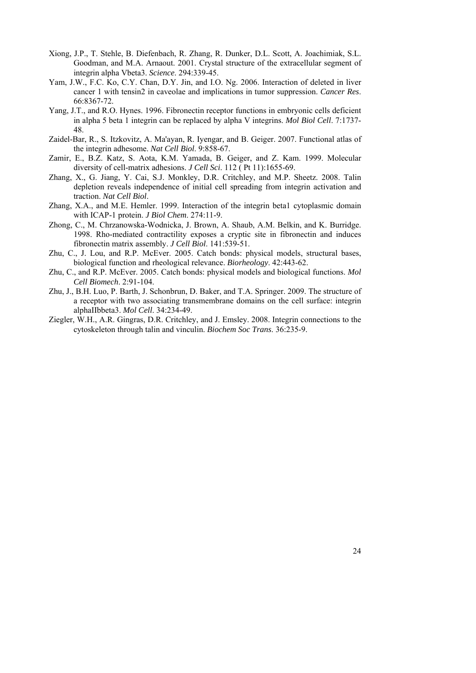- Xiong, J.P., T. Stehle, B. Diefenbach, R. Zhang, R. Dunker, D.L. Scott, A. Joachimiak, S.L. Goodman, and M.A. Arnaout. 2001. Crystal structure of the extracellular segment of integrin alpha Vbeta3. *Science*. 294:339-45.
- Yam, J.W., F.C. Ko, C.Y. Chan, D.Y. Jin, and I.O. Ng. 2006. Interaction of deleted in liver cancer 1 with tensin2 in caveolae and implications in tumor suppression. *Cancer Res*. 66:8367-72.
- Yang, J.T., and R.O. Hynes. 1996. Fibronectin receptor functions in embryonic cells deficient in alpha 5 beta 1 integrin can be replaced by alpha V integrins. *Mol Biol Cell*. 7:1737- 48.
- Zaidel-Bar, R., S. Itzkovitz, A. Ma'ayan, R. Iyengar, and B. Geiger. 2007. Functional atlas of the integrin adhesome. *Nat Cell Biol*. 9:858-67.
- Zamir, E., B.Z. Katz, S. Aota, K.M. Yamada, B. Geiger, and Z. Kam. 1999. Molecular diversity of cell-matrix adhesions. *J Cell Sci*. 112 ( Pt 11):1655-69.
- Zhang, X., G. Jiang, Y. Cai, S.J. Monkley, D.R. Critchley, and M.P. Sheetz. 2008. Talin depletion reveals independence of initial cell spreading from integrin activation and traction. *Nat Cell Biol*.
- Zhang, X.A., and M.E. Hemler. 1999. Interaction of the integrin beta1 cytoplasmic domain with ICAP-1 protein. *J Biol Chem*. 274:11-9.
- Zhong, C., M. Chrzanowska-Wodnicka, J. Brown, A. Shaub, A.M. Belkin, and K. Burridge. 1998. Rho-mediated contractility exposes a cryptic site in fibronectin and induces fibronectin matrix assembly. *J Cell Biol*. 141:539-51.
- Zhu, C., J. Lou, and R.P. McEver. 2005. Catch bonds: physical models, structural bases, biological function and rheological relevance. *Biorheology*. 42:443-62.
- Zhu, C., and R.P. McEver. 2005. Catch bonds: physical models and biological functions. *Mol Cell Biomech*. 2:91-104.
- Zhu, J., B.H. Luo, P. Barth, J. Schonbrun, D. Baker, and T.A. Springer. 2009. The structure of a receptor with two associating transmembrane domains on the cell surface: integrin alphaIIbbeta3. *Mol Cell*. 34:234-49.
- Ziegler, W.H., A.R. Gingras, D.R. Critchley, and J. Emsley. 2008. Integrin connections to the cytoskeleton through talin and vinculin. *Biochem Soc Trans*. 36:235-9.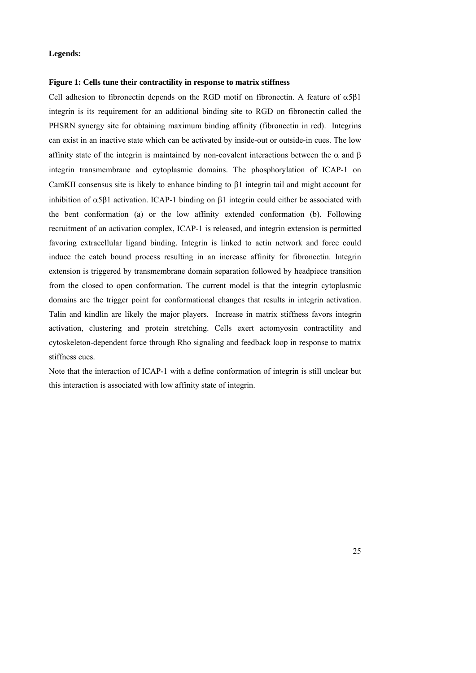#### **Legends:**

### **Figure 1: Cells tune their contractility in response to matrix stiffness**

Cell adhesion to fibronectin depends on the RGD motif on fibronectin. A feature of  $\alpha 5\beta 1$ integrin is its requirement for an additional binding site to RGD on fibronectin called the PHSRN synergy site for obtaining maximum binding affinity (fibronectin in red). Integrins can exist in an inactive state which can be activated by inside-out or outside-in cues. The low affinity state of the integrin is maintained by non-covalent interactions between the  $\alpha$  and  $\beta$ integrin transmembrane and cytoplasmic domains. The phosphorylation of ICAP-1 on CamKII consensus site is likely to enhance binding to  $\beta$ 1 integrin tail and might account for inhibition of  $\alpha$ 5 $\beta$ 1 activation. ICAP-1 binding on  $\beta$ 1 integrin could either be associated with the bent conformation (a) or the low affinity extended conformation (b). Following recruitment of an activation complex, ICAP-1 is released, and integrin extension is permitted favoring extracellular ligand binding. Integrin is linked to actin network and force could induce the catch bound process resulting in an increase affinity for fibronectin. Integrin extension is triggered by transmembrane domain separation followed by headpiece transition from the closed to open conformation. The current model is that the integrin cytoplasmic domains are the trigger point for conformational changes that results in integrin activation. Talin and kindlin are likely the major players. Increase in matrix stiffness favors integrin activation, clustering and protein stretching. Cells exert actomyosin contractility and cytoskeleton-dependent force through Rho signaling and feedback loop in response to matrix stiffness cues.

Note that the interaction of ICAP-1 with a define conformation of integrin is still unclear but this interaction is associated with low affinity state of integrin.